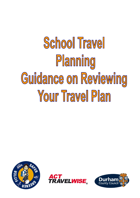# School Travel Planning Guidance on Reviewing Your Travel Plan





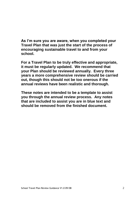**As I'm sure you are aware, when you completed your Travel Plan that was just the start of the process of encouraging sustainable travel to and from your school.**

**For a Travel Plan to be truly effective and appropriate, it must be regularly updated. We recommend that your Plan should be reviewed annually. Every three years a more comprehensive review should be carried out, though this should not be too onerous if the annual reviews have been realistic and thorough.**

**These notes are intended to be a template to assist you through the annual review process. Any notes that are included to assist you are in blue text and should be removed from the finished document.**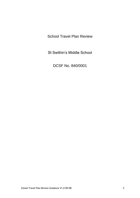School Travel Plan Review

St Swithin's Middle School

DCSF No. 840/0001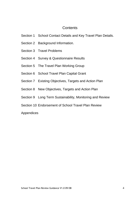# **Contents**

- Section 1 School Contact Details and Key Travel Plan Details.
- Section 2 Background Information.
- Section 3 Travel Problems
- Section 4 Survey & Questionnaire Results
- Section 5 The Travel Plan Working Group
- Section 6 School Travel Plan Capital Grant
- Section 7 Existing Objectives, Targets and Action Plan
- Section 8 New Objectives, Targets and Action Plan
- Section 9 Long Term Sustainability, Monitoring and Review
- Section 10 Endorsement of School Travel Plan Review

# Appendices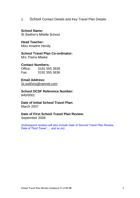1. School Contact Details and Key Travel Plan Details.

# **School Name:**

St Swithin's Middle School

**Head Teacher:** Miss Ariadne Hendy

**School Travel Plan Co-ordinator:** Mrs Theira Mbeke

# **Contact Numbers:**

Office: 0191 555 3939 Fax: 0191 555 3636

# **Email Address:**

[St.swithins@rainnet.com](mailto:St.swithins@rainnet.com)

**School DCSF Reference Number:** 840/0001

# **Date of Initial School Travel Plan:**

March 2007

# **Date of First School Travel Plan Review:**

September 2008

*(Subsequent reviews will also include Date of Second Travel Plan Review, Date of Third Travel …. and so on)*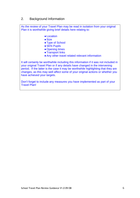# 2. Background Information

As the review of your Travel Plan may be read in isolation from your original Plan it is worthwhile giving brief details here relating to:

- ●Location
- $\bullet$  Size
- Type of School
- SEN Pupils
- Opening times
- Transport links
- Any other travel related relevant information

It will certainly be worthwhile including this information if it was not included in your original Travel Plan or if any details have changed in the intervening period. If the latter is the case it may be worthwhile highlighting that they are changes, as this may well affect some of your original actions or whether you have achieved your targets.

Don't forget to include any measures you have implemented as part of your Travel Plan!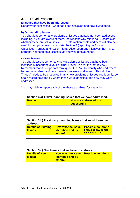# 3. Travel Problems

### **a) Issues that have been addressed:**

Report your successes – what has been achieved and how it was done.

### **b) Outstanding issues:**

You should report on any problems or issues that have not been addressed including, if you are aware of them, the reasons why this is so. Record also whether these are still an issue. The information contained here will also be useful when you come to complete Section 7 (reporting on Existing Objectives, Targets and Action Plan). Also report any initiatives that have, perhaps, not been as successful as you would have hoped.

### **c) New issues:**

You should also report on any new problems or issues that have been identified subsequent to your original Travel Plan (or the last review). Remember that it is important throughout the Plan to identify who and where issues were raised and how these issues were addressed. This 'Golden Thread' needs to be preserved in any new problems or issues you identify; so again record how and by whom these were identified, and how they were addressed.

You may wish to report each of the above as tables, for example:

| Occupit 5 a) Travel Flamming issues that we have addressed. |                                                    |  |  |  |
|-------------------------------------------------------------|----------------------------------------------------|--|--|--|
| <b>Problem</b>                                              | <b>How we addressed this</b><br><b>sucessfully</b> |  |  |  |
|                                                             |                                                    |  |  |  |
|                                                             |                                                    |  |  |  |
|                                                             |                                                    |  |  |  |
|                                                             |                                                    |  |  |  |

### **Section 3 a) Travel Planning Issues that we have addressed.**

### **Section 3 b) Previously identified Issues that we still need to address.**

| <b>Details of Existing</b><br><b>Issues</b> | <b>How was the issue</b><br><b>identified and by</b><br>whom? | <b>Possible solutions</b><br>(including any partial<br>succeses so far) |
|---------------------------------------------|---------------------------------------------------------------|-------------------------------------------------------------------------|
|                                             |                                                               |                                                                         |
|                                             |                                                               |                                                                         |
|                                             |                                                               |                                                                         |

### **Section 3 c) New Issues that we have to address.**

| <b>Details of New</b><br><b>Issues</b> | <b>How was the issue</b><br><b>identified and by</b><br>whom? | <b>Possible solutions</b> |
|----------------------------------------|---------------------------------------------------------------|---------------------------|
|                                        |                                                               |                           |
|                                        |                                                               |                           |
|                                        |                                                               |                           |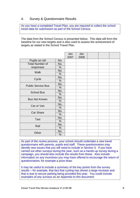# 4. Survey & Questionnaire Results

As you have a completed Travel Plan, you are required to collect the school travel data for submission as part of the School Census.

The data from the School Census is presented below. This data will form the baseline for our new targets and is also used to assess the achievement of targets as stated in the School Travel Plan.

|                           |               | Jan<br>2007 | Jan<br>2008 |  |  |
|---------------------------|---------------|-------------|-------------|--|--|
| Pupils on roll            | No.           |             |             |  |  |
| <b>Total Number of</b>    | No.           |             |             |  |  |
| responses                 | $\frac{0}{0}$ |             |             |  |  |
| <b>Walk</b>               | No.           |             |             |  |  |
|                           | $\%$          |             |             |  |  |
|                           | No.           |             |             |  |  |
| Cycle                     | $\%$          |             |             |  |  |
| <b>Public Service Bus</b> | No.           |             |             |  |  |
|                           | $\frac{0}{0}$ |             |             |  |  |
| <b>School Bus</b>         | No.           |             |             |  |  |
|                           | $\%$          |             |             |  |  |
| <b>Bus Not Known</b>      | No.           |             |             |  |  |
|                           | $\%$          |             |             |  |  |
| Car or Van                | No.           |             |             |  |  |
|                           | $\%$          |             |             |  |  |
| <b>Car Share</b>          | No.           |             |             |  |  |
|                           | %             |             |             |  |  |
| Taxi                      | No.           |             |             |  |  |
|                           | $\%$          |             |             |  |  |
| Rail                      | No.           |             |             |  |  |
|                           | $\%$          |             |             |  |  |
| Other                     | No.           |             |             |  |  |
|                           | $\%$          |             |             |  |  |

As part of the review process, your school should undertake a new travel questionnaire with parents, pupils and staff. These questionnaires may identify new issues that you will need to include in Section 3. If you have carried out other surveys during the year, such as a hands-up survey during a campaign, you should also include the results from these. Also include information on any incentives you may have offered to encourage the return of questionnaires; for example a prize draw.

It may be useful to include a summary of the key points from the survey results – for example, that fact that cycling has shown a large increase and that is due to secure parking being provided this year. You could include examples of any surveys as an Appendix to this document.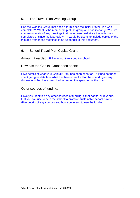# 5. The Travel Plan Working Group

Has the Working Group met once a term since the initial Travel Plan was completed? What is the membership of the group and has it changed? Give summary details of any meetings that have been held since the initial was completed or since the last review – it would be useful to include copies of the minutes from these meetings in an Appendix to this document.

# 6. School Travel Plan Capital Grant

Amount Awarded: Fill in amount awarded to school.

How has the Capital Grant been spent:

Give details of what your Capital Grant has been spent on. If it has not been spent yet, give details of what has been identified for the spending or any discussions that have been had regarding the spending of the grant.

Other sources of funding:

Have you identified any other sources of funding, either capital or revenue, that you can use to help the school to promote sustainable school travel? Give details of any sources and how you intend to use the funding.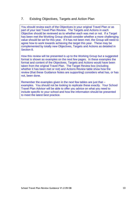# 7. Existing Objectives, Targets and Action Plan

You should review each of the Objectives in your original Travel Plan or as part of your last Travel Plan Review. The Targets and Actions in each Objective should be reviewed as to whether each was met or not. If a Target has been met the Working Group should consider whether a more challenging value should be set for this year. If it has not been met, the Group will need to agree how to work towards achieving the target this year. These may be complemented by totally new Objectives, Targets and Actions as detailed in Section 8.

How this review will be presented is up to the Working Group but a suggested format is shown as examples on the next few pages. In these examples the format and content of the Objectives, Targets and Actions would have been taken from the original Travel Plan. The Target Review box (including whether it has been met or not) and Actions Review table show how the review (that these Guidance Notes are supporting) considers what has, or has not, been done.

Remember the examples given in the next few tables are just that – examples. You should not be looking to replicate these exactly. Your School Travel Plan Advisor will be able to offer you advice on what you need to include specific to your school and how the information should be presented to meet the latest best practice.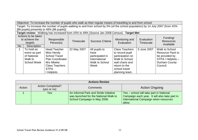|           | Objective: To increase the number of pupils who walk as their regular means of travelling to and from school |                                                                                                                                |             |                         |                       |                  |                         |
|-----------|--------------------------------------------------------------------------------------------------------------|--------------------------------------------------------------------------------------------------------------------------------|-------------|-------------------------|-----------------------|------------------|-------------------------|
|           |                                                                                                              | Target: To increase the number of pupils walking to and from school by 5% (of the school population) by 14 July 2007 (from 43% |             |                         |                       |                  |                         |
|           |                                                                                                              | [86 pupils] presently to 48% [96 pupils])                                                                                      |             |                         |                       |                  |                         |
|           |                                                                                                              | Target review: Walking has increased from 43% to 49% (Source Jan 2008 Census). Target Met                                      |             |                         |                       |                  |                         |
|           | Actions to be taken                                                                                          |                                                                                                                                |             |                         |                       |                  |                         |
|           | to achieve the                                                                                               | Responsible                                                                                                                    |             | <b>Success Criteria</b> | Monitoring and        | Evaluation       | Funding/                |
|           | targets                                                                                                      | Person(s)                                                                                                                      | Timescale   |                         | Evaluation            | <b>Timescale</b> | <b>Resources</b>        |
| <b>No</b> | <b>Description</b>                                                                                           |                                                                                                                                |             |                         |                       |                  | Available               |
|           | To hold an                                                                                                   | <b>Head Teacher</b>                                                                                                            | 22 May 2007 | All pupils to           | <b>Class Teachers</b> | 5 June 2007      | Walk to School          |
|           | event as part                                                                                                | Miss Hendy                                                                                                                     |             | have                    | to record pupil       |                  | <b>Resource Pack to</b> |
|           | of National                                                                                                  | <b>School Travel</b>                                                                                                           |             | participated in         | participation on      |                  | be provided by          |
|           | Walk to                                                                                                      | <b>Plan Coordinator</b>                                                                                                        |             | International           | Walk to School        |                  | STPA I Helplots -       |
|           | <b>School Week</b>                                                                                           | Mrs Mbeke                                                                                                                      |             | Walk to School          | wall charts and       |                  | Durham County           |
|           |                                                                                                              | <b>Class Teachers</b>                                                                                                          |             | Week                    | return to the         |                  | Council.                |
|           |                                                                                                              | <b>STPA</b>                                                                                                                    |             |                         | school travel         |                  |                         |
|           |                                                                                                              | I Helplots                                                                                                                     |             |                         | planning team.        |                  |                         |

|        | <b>Actions Review</b>                   |                                                                                                                 |                                                                                                                                             |  |  |  |  |
|--------|-----------------------------------------|-----------------------------------------------------------------------------------------------------------------|---------------------------------------------------------------------------------------------------------------------------------------------|--|--|--|--|
| Action | <b>Action Completed?</b><br>(yes or no) | Comments                                                                                                        | <b>Action Ongoing</b>                                                                                                                       |  |  |  |  |
|        | Yes                                     | An informal Park and Stride initiative<br>was launched for the National Walk to<br>School Campaign in May 2006. | Yes - school will take part in National<br>Campaign each year. It will also take part in<br>International Campaign when resources<br>allow. |  |  |  |  |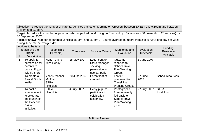Objective: To reduce the number of parental vehicles parked on Mornington Crescent between 8.45am and 9.15am and between 2.45pm and 3.15pm.

Target: To reduce the number of parental vehicles parked on Mornington Crescent by 10 cars (from 30 presently to 20 vehicles) by 10 September 2007.

**Target review:** Number of parental vehicles 18 (am) and 25 (pm). (Source average numbers from site surveys one day per week during June 2007). **Target Met**

| No | Actions to be taken<br>to achieve the<br>targets<br>Description                                             | Responsible<br>Person(s)                                      | <b>Timescale</b> | <b>Success Criteria</b>                                                             | Monitoring and<br>Evaluation                                                                         | Evaluation<br>Timescale | Funding/<br><b>Resources</b><br>Available |
|----|-------------------------------------------------------------------------------------------------------------|---------------------------------------------------------------|------------------|-------------------------------------------------------------------------------------|------------------------------------------------------------------------------------------------------|-------------------------|-------------------------------------------|
|    | To apply for<br>permission for<br>parents to<br>park at Piggly<br><b>Wiggly Store.</b>                      | <b>Head Teacher</b><br>Miss Hendy                             | 15 May 2007      | Letter sent to<br><b>Store Manager</b><br>seeking<br>permission to<br>use car park. | Outcome<br>reported to<br><b>School Travel</b><br><b>Plan Working</b><br>Group.                      | 5 June 2007             |                                           |
| 2  | To create a<br>Park & Stride<br>leaflet.                                                                    | Year 5 teacher<br>Mr Train.<br><b>STPA</b><br><b>Helplots</b> | 20 June 2007     | Parent leaflet<br>created.                                                          | Leaflet<br>presented to<br><b>Travel Plan</b><br>Working Group.                                      | 27 June<br>2007         | School resources.                         |
| 3  | To host a<br>special event<br>to celebrate<br>the launch of<br>the Park and<br><b>Stride</b><br>Initiative. | <b>STPA</b><br>I Helplots                                     | 4 July 2007      | Every pupil to<br>participate in<br>celebration<br>assembly.                        | Photographs<br>from assembly<br>fed back to<br><b>School Travel</b><br><b>Plan Working</b><br>group. | 27 July 2007            | <b>STPA</b><br>I Helplots                 |

**Actions Review**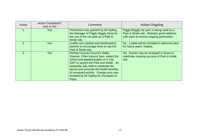| Action         | <b>Action Completed?</b><br>(yes or no) | Comments                                                                                                                                                                                                                                                                                                                                   | <b>Action Ongoing</b>                                                                                                                |
|----------------|-----------------------------------------|--------------------------------------------------------------------------------------------------------------------------------------------------------------------------------------------------------------------------------------------------------------------------------------------------------------------------------------------|--------------------------------------------------------------------------------------------------------------------------------------|
|                | Yes                                     | Permission was granted by Mr Kipling,<br>the Manager of Piggly Wiggly Store for<br>the use of the car park as a Park &<br>Stride site.                                                                                                                                                                                                     | Piggly Wiggly car park is being used as a<br>Park & Stride site. Maintain good relations<br>with store to ensure ongoing permission. |
| $\overline{2}$ | <b>Yes</b>                              | Leaflet was created and distributed to<br>parents to encourage them to use the<br>Park & Stride site.                                                                                                                                                                                                                                      | No. Leaflet will be included in welcome pack<br>for future years' intakes.                                                           |
| $\overline{3}$ | <b>Yes</b>                              | Durham County Council's Safer,<br>Greener, Fitter mascot Sam, visited the<br>school and greeted pupils on 4 July<br>2007 to launch the Park and Stride. An<br>Assembly was held to celebrate the<br>launch and promote the health benefits<br>of increased activity. Orange juice was<br>donated by Mr Kipling for the pupils to<br>enjoy. | No. Events may be arranged in future to<br>celebrate ongoing success of Park & stride<br>site.                                       |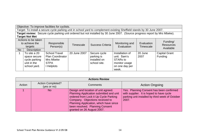|           | Objective: To improve facilities for cyclists.   |                                                                                                                            |              |                         |                              |                         |                                           |
|-----------|--------------------------------------------------|----------------------------------------------------------------------------------------------------------------------------|--------------|-------------------------|------------------------------|-------------------------|-------------------------------------------|
|           |                                                  | Target: To install a secure cycle parking unit in school yard to complement existing Sheffield stands by 30 June 2007.     |              |                         |                              |                         |                                           |
|           |                                                  | Target review: Secure cycle parking unit ordered but not installed by 30 June 2007. (Source progress report by Mrs Mbeke). |              |                         |                              |                         |                                           |
|           | <b>Target Not Met</b>                            |                                                                                                                            |              |                         |                              |                         |                                           |
|           | Actions to be taken<br>to achieve the<br>targets | Responsible<br>Person(s)                                                                                                   | Timescale    | <b>Success Criteria</b> | Monitoring and<br>Evaluation | Evaluation<br>Timescale | Funding/<br><b>Resources</b><br>Available |
| <b>No</b> | <b>Description</b>                               |                                                                                                                            |              |                         |                              |                         |                                           |
|           | To site a 20                                     | School Travel                                                                                                              | 20 June 2007 | Secure cycle            | Installation of              | 20 June                 | <b>Capital Grant</b>                      |
|           | space secure                                     | <b>Plan Coordinator</b>                                                                                                    |              | parking is              | unit. Sam's                  | 2007                    | Funding                                   |
|           | cycle parking                                    | Mrs Mbeke                                                                                                                  |              | installed on            | <b>STARs to</b>              |                         |                                           |
|           | unit in the                                      | <b>STPA</b>                                                                                                                |              | school site.            | monitor usage                |                         |                                           |
|           | school yard.                                     | I Helplots                                                                                                                 |              |                         | on one day per               |                         |                                           |
|           |                                                  |                                                                                                                            |              |                         | week.                        |                         |                                           |

|        | <b>Actions Review</b>                   |                                                                                                                                                                                                                                                                       |                                                                                                                                                  |  |  |  |
|--------|-----------------------------------------|-----------------------------------------------------------------------------------------------------------------------------------------------------------------------------------------------------------------------------------------------------------------------|--------------------------------------------------------------------------------------------------------------------------------------------------|--|--|--|
| Action | <b>Action Completed?</b><br>(yes or no) | Comments                                                                                                                                                                                                                                                              | <b>Action Ongoing</b>                                                                                                                            |  |  |  |
|        | <b>No</b>                               | Design and location of unit agreed.<br>Planning Application submitted and unit<br>ordered from Lock it Up Cycle Parking<br>Company. Objections received to<br>Planning Application, which have since<br>been resolved. Planning Consent<br>granted on 26 August 2007. | Yes. Planning Consent has been confirmed<br>with supplier. It is hoped to have cycle<br>parking unit installed by third week of October<br>2007. |  |  |  |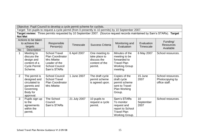Objective: Pupil Council to develop a cycle permit scheme for cyclists.

Target: Ten pupils to request a cycle permit (from 0 presently to 10 permits) by 10 September 2007.

**Target review:** Three permits requested by 10 September 2007. (Source request records maintained by Sam's STARs). **Target Not Met**

|    | Actions to be taken<br>to achieve the<br>targets                                                                | Responsible<br>Person(s)                                                                                              | Timescale    | <b>Success Criteria</b>                                                     | Monitoring and<br>Evaluation                                                                              | Evaluation<br><b>Timescale</b> | Funding/<br><b>Resources</b><br>Available             |
|----|-----------------------------------------------------------------------------------------------------------------|-----------------------------------------------------------------------------------------------------------------------|--------------|-----------------------------------------------------------------------------|-----------------------------------------------------------------------------------------------------------|--------------------------------|-------------------------------------------------------|
| No | <b>Description</b><br>Meeting to<br>discuss the<br>design and<br>content of a<br><b>Cycle Permit</b><br>Scheme. | <b>School Travel</b><br><b>Plan Coordinator</b><br>Mrs Mbeke<br>Leader of the<br><b>School Council</b><br>Sam's STARs | 6 April 2007 | One meeting to<br>take place to<br>discuss the<br>content of the<br>permit. | Minutes of the<br>meeting to be<br>forwarded to<br><b>Travel Plan</b><br><b>Working Group</b><br>meeting. | 6 May 2007                     | School resources.                                     |
| 2  | The permit is<br>designed and<br>circulated to<br>parents and<br>Governing<br>Body for<br>approval.             | <b>School Council</b><br><b>School Travel</b><br><b>Plan Coordinator</b><br>Mrs Mbeke                                 | 1 June 2007  | The draft cycle<br>permit scheme<br>is agreed upon.                         | Copies of the<br>draft cycle<br>permit scheme<br>sent to Travel<br><b>Plan Working</b><br>Group.          | 15 June<br>2007                | School resources.<br>Photocopying by<br>office staff. |
| 3  | Pupils sign up<br>to the<br>agreements<br>within the<br>permit.                                                 | The School<br>Council<br>Sam's STARs                                                                                  | 21 July 2007 | 10 pupils to<br>request a cycle<br>permit.                                  | Sam's STARs<br>To monitor<br>request and<br>report to School<br><b>Travel Plan</b><br>Working Group.      | 10<br>September<br>2007        | School resources.                                     |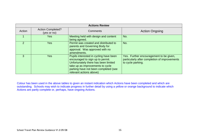|               | <b>Actions Review</b>                   |                                                                                                                                                                                                                           |                                                                                                               |  |  |  |  |
|---------------|-----------------------------------------|---------------------------------------------------------------------------------------------------------------------------------------------------------------------------------------------------------------------------|---------------------------------------------------------------------------------------------------------------|--|--|--|--|
| Action        | <b>Action Completed?</b><br>(yes or no) | Comments                                                                                                                                                                                                                  | <b>Action Ongoing</b>                                                                                         |  |  |  |  |
|               | Yes                                     | Meeting held with design and content<br>being agreed.                                                                                                                                                                     | No.                                                                                                           |  |  |  |  |
| $\mathcal{P}$ | Yes                                     | Permit was created and distributed to<br>parents and Governing Body for<br>approval. Was approved with no<br>amendments.                                                                                                  | No.                                                                                                           |  |  |  |  |
| 3             | Yes                                     | Pupils interested in cycling have been<br>encouraged to sign up to permit.<br>Unfortunately there has been limited<br>take up as improvements to cycle<br>parking have not been completed (see<br>relevant actions above) | Yes. Further encouragement to be given,<br>particularly after completion of improvements<br>to cycle parking. |  |  |  |  |

Colour has been used in the above tables to given an instant indication which Actions have been completed and which are outstanding. Schools may wish to indicate progress in further detail by using a yellow or orange background to indicate which Actions are partly complete or, perhaps, have ongoing Actions.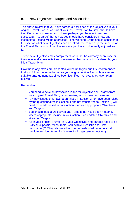# 8. New Objectives, Targets and Action Plan

The above review that you have carried out for each of the Objectives in your original Travel Plan, or as part of your last Travel Plan Review, should have identified your successes and where, perhaps, you have not been so successful. As part of that review you should have considered how any incomplete Actions will be addressed. The Working Group should consider in this section what new Objectives can be introduced to keep up the impetus of the Travel Plan and build on the success you have undoubtedly enjoyed so far.

These new Objectives may complement work that has already been done or introduce totally new initiatives or measures that were not considered by your initial Travel Plan.

How these objectives are presented will be up to you but it is recommended that you follow the same format as your original Action Plan unless a more suitable arrangement has since been identified. An example Action Plan follows.

### Remember:

- You need to develop new Action Plans for Objectives or Targets from your original Travel Plan, or last review, which have not been met.
- Any new issues that have been raised in Section 3 (or have been raised by the questionnaires in Section 4 and not transferred to Section 3) will need to be addressed in your Action Plan with appropriate Objectives and Targets.
- You should look at Objectives and Targets that have been met and, where appropriate, include in your Action Plan updated Objectives and stretched Targets.
- As in your original Travel Plan, your Objectives and Targets need to be SMART (Specific, Measurable, Achievable, Realistic and Timeconstrained)? They also need to cover an extended period – short, medium and long term  $(2 - 3)$  years for longer term objectives)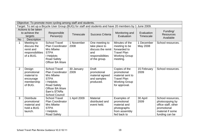| Objective: To promote more cycling among staff and students.                                            |                                                                            |                                                                                                                                                                     |                    |                                                                                                  |                                                                                                                 |                         |                                                                                                                  |
|---------------------------------------------------------------------------------------------------------|----------------------------------------------------------------------------|---------------------------------------------------------------------------------------------------------------------------------------------------------------------|--------------------|--------------------------------------------------------------------------------------------------|-----------------------------------------------------------------------------------------------------------------|-------------------------|------------------------------------------------------------------------------------------------------------------|
| Target: To set up a Bicycle User Group (BUG) for staff and students and have 20 members by 1 June 2009. |                                                                            |                                                                                                                                                                     |                    |                                                                                                  |                                                                                                                 |                         |                                                                                                                  |
| Actions to be taken<br>to achieve the<br>targets<br><b>Description</b><br><b>No</b>                     |                                                                            | Responsible<br>Person(s)                                                                                                                                            | <b>Timescale</b>   | <b>Success Criteria</b>                                                                          | Monitoring and<br>Evaluation                                                                                    | Evaluation<br>Timescale | Funding/<br><b>Resources</b><br>Available                                                                        |
| $\mathbf 1$                                                                                             | Meeting to<br>discuss the<br>remit and<br>responsibilities<br>of a BUG.    | <b>School Travel</b><br><b>Plan Coordinator</b><br>Mrs Mbeke<br><b>STPA</b><br>I Helplots<br><b>Road Safety</b><br>Officer BA Ware                                  | 1 November<br>2008 | One meeting to<br>take place to<br>discuss the remit<br>and<br>responsibilities<br>of the group. | Minutes of the<br>meeting to be<br>forwarded to<br><b>Travel Plan</b><br><b>Working Group</b><br>meeting.       | 1 December<br>May 2008  | School resources.                                                                                                |
| $\overline{2}$                                                                                          | Design<br>promotional<br>material to<br>encourage<br>membership<br>of BUG. | <b>School Travel</b><br><b>Plan Coordinator</b><br>Mrs Mbeke<br><b>STPA</b><br>I Helplots<br>Road Safety<br>Officer BA Ware<br>Sam's STARs<br><b>School Council</b> | 30 January<br>2009 | <b>Draft</b><br>promotional<br>material agreed<br>and samples<br>produced.                       | Copies of the<br>promotional<br>material sent to<br><b>Travel Plan</b><br><b>Working Group</b><br>for approval. | 15 February<br>2009     | School resources.                                                                                                |
| 3                                                                                                       | <b>Distribute</b><br>promotional<br>material and<br>hold a BUG<br>launch.  | <b>School Travel</b><br>Plan Coordinator<br>Mrs Mbeke<br><b>STPA</b><br>I Helplots<br><b>Road Safety</b>                                                            | 1 April 2009       | <b>Material</b><br>distributed and<br>event held.                                                | Examples of<br>promotional<br>material and<br>photographs<br>from assembly<br>fed back to                       | 30 April<br>2009        | School resources,<br>photocopying by<br>office staff, other<br>promotional<br>material if some<br>funding can be |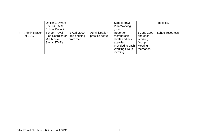|                          | Officer BA Ware<br>Sam's STARs<br><b>School Council</b>                     |                                        |                                   | <b>School Travel</b><br><b>Plan Working</b><br>group.                                                           |                                                                       | identified.       |
|--------------------------|-----------------------------------------------------------------------------|----------------------------------------|-----------------------------------|-----------------------------------------------------------------------------------------------------------------|-----------------------------------------------------------------------|-------------------|
| Administration<br>of BUG | <b>School Travel</b><br><b>Plan Coordinator</b><br>Mrs Mbeke<br>Sam's STARs | April 2009<br>and ongoing<br>from then | Administration<br>practice set up | Report on<br>membership<br>levels and any<br>activities<br>provided to each<br><b>Working Group</b><br>meeting. | 1 June 2009<br>and each<br>Working<br>Group<br>Meeting<br>thereafter. | School resources. |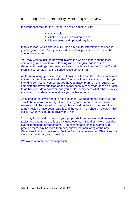# 9. Long Term Sustainability, Monitoring and Review

It is important that, for the Travel Plan to be effective, it is:

- sustainable.
- what it achieves is monitored, and
- it is reviewed and updated regularly.

In this section, which should build upon any similar information included in your original Travel Plan, you should detail how you intend to achieve the above three points.

You may wish to include how you involve the whole school and the local community; and how Travel Planning will be a regular agenda item at Governors' meetings. You may also wish to reiterate how the School Travel Plan is incorporated into the School Development Plan.

As for monitoring, you should set out how the Plan and the actions contained in it will be monitored and evaluated. You should also include how often you intend to do this. Of course, as you have a Travel Plan you are required to complete the travel question on the school census each year. It can be useful to gather other data however, and you could specify here what other surveys you intend to undertake to evaluate your achievements.

As stated in the cover sheet to this document, we recommend that your Plan should be reviewed annually. Every three years a more comprehensive review should be carried out, though this should not be too onerous if the annual reviews have been realistic and thorough. You should indicate in this section when you intend to review the Plan.

You may find it useful to record your proposals for monitoring and review in tables and examples of this are included overleaf. The first table shows the overall monitoring arrangements. The second table (in this example, in practice there may be more than one) shows the monitoring of the new Objectives that you have set in Section 8 and any outstanding Objectives that were not met from your original plan.

We would recommend this approach.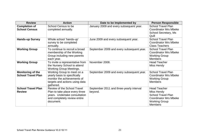| <b>Review</b>                                         | <b>Action</b>                                                                                                                               | Date to be Implemented by                           | <b>Person Responsible</b>                                                                                                                |
|-------------------------------------------------------|---------------------------------------------------------------------------------------------------------------------------------------------|-----------------------------------------------------|------------------------------------------------------------------------------------------------------------------------------------------|
| <b>Completion of</b><br><b>School Census</b>          | School Census to be<br>completed annually.                                                                                                  | January 2009 and every subsequent year.             | <b>School Travel Plan</b><br><b>Coordinator Mrs Mbeke</b><br>School Secretary, Ms<br>Quill                                               |
| <b>Hands-up Survey</b>                                | Whole school 'hands-up'<br>survey to be completed<br>annually.                                                                              | June 2009 and every subsequent year.                | <b>School Travel Plan</b><br><b>Coordinator Mrs Mbeke</b><br><b>Class Teachers</b>                                                       |
| <b>Working Group</b>                                  | To continue to recruit a broad<br>membership of the Working<br>Group including new parents<br>each year.                                    | September 2009 and every subsequent year.           | <b>School Travel Plan</b><br><b>Coordinator Mrs Mbeke</b><br><b>Working Group</b><br><b>Members</b>                                      |
| <b>Working Group</b>                                  | To invite a representative from<br>the Nursery School to attend<br><b>Working Group Meetings.</b>                                           | November 2008.                                      | <b>Head Teacher</b><br>Miss Hendy                                                                                                        |
| <b>Monitoring of the</b><br><b>School Travel Plan</b> | Working Group to meet on a<br>yearly basis to specifically<br>monitor the achievements of<br>targets and actions using data<br>gathered.    | September 2009 and every subsequent year.           | <b>School Travel Plan</b><br><b>Coordinator Mrs Mbeke</b><br><b>Working Group</b><br><b>Members</b>                                      |
| <b>School Travel Plan</b><br><b>Review</b>            | Review of the School Travel<br>Plan to take place every three<br>years. Undertake consultation<br>and completely review entire<br>document. | September 2011 and three-yearly interval<br>beyond. | <b>Head Teacher</b><br>Miss Hendy<br><b>School Travel Plan</b><br><b>Coordinator Mrs Mbeke</b><br><b>Working Group</b><br><b>Members</b> |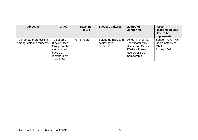| <b>Objective</b>                                     | <b>Target</b>                                                                                                 | <b>Baseline</b><br><b>Figure</b> | <b>Success Criteria</b>                        | <b>Method of</b><br><b>Monitoring</b>                                                                                      | <b>Person</b><br><b>Responsible and</b><br>Date to be<br><b>Implemented</b>  |
|------------------------------------------------------|---------------------------------------------------------------------------------------------------------------|----------------------------------|------------------------------------------------|----------------------------------------------------------------------------------------------------------------------------|------------------------------------------------------------------------------|
| To promote more cycling<br>among staff and students. | To set up a<br><b>Bicycle User</b><br>Group and have<br>students and<br>have 20<br>members by 1<br>June 2009. | 0 members                        | Setting up BUG and<br>achieving 20<br>members. | <b>School Travel Plan</b><br><b>Coordinator Mrs</b><br>Mbeke and Sam's<br>STARs will keep<br>records of BUG<br>membership. | <b>School Travel Plan</b><br><b>Coordinator Mrs</b><br>Mbeke<br>1 June 2009. |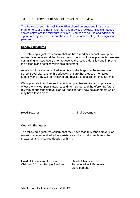# 10. Endorsement of School Travel Plan Review

The Review of your School Travel Plan should be endorsed in a similar manner to your original Travel Plan and previous reviews. The signatories shown below are the minimum required. You can of course add additional signatures if you consider that these reflect endorsement by other significant partners.

### **School Signatures**

The following signatures confirm that we have read this school travel plan review. We understand that by endorsing the school travel plan review we are committing to make every effort to resolve the issues identified and implement the action plans detailed within this document.

As a school we are committed to achieving the targets in the review of our school travel plan and to this effect will ensure that they are monitored annually and they will be reviewed and revised to ensure that they are met.

We appreciate that changes in education practise and transport provision effect the way our pupils travel to and from school and therefore any future reviews of our school travel plan will consider any new developments which may have taken place

Head Teacher Chair of Governors

………………………………… ………………………………….

### **Council Signatures**

The following signatures confirm that they have read this school travel plan review document and will offer assistance and support to implement the measures and initiatives detailed within it.

Head of Access and Inclusion Head of Transport Children & Young People Services Regeneration & Economic

………………………………… ………………………………….

Development